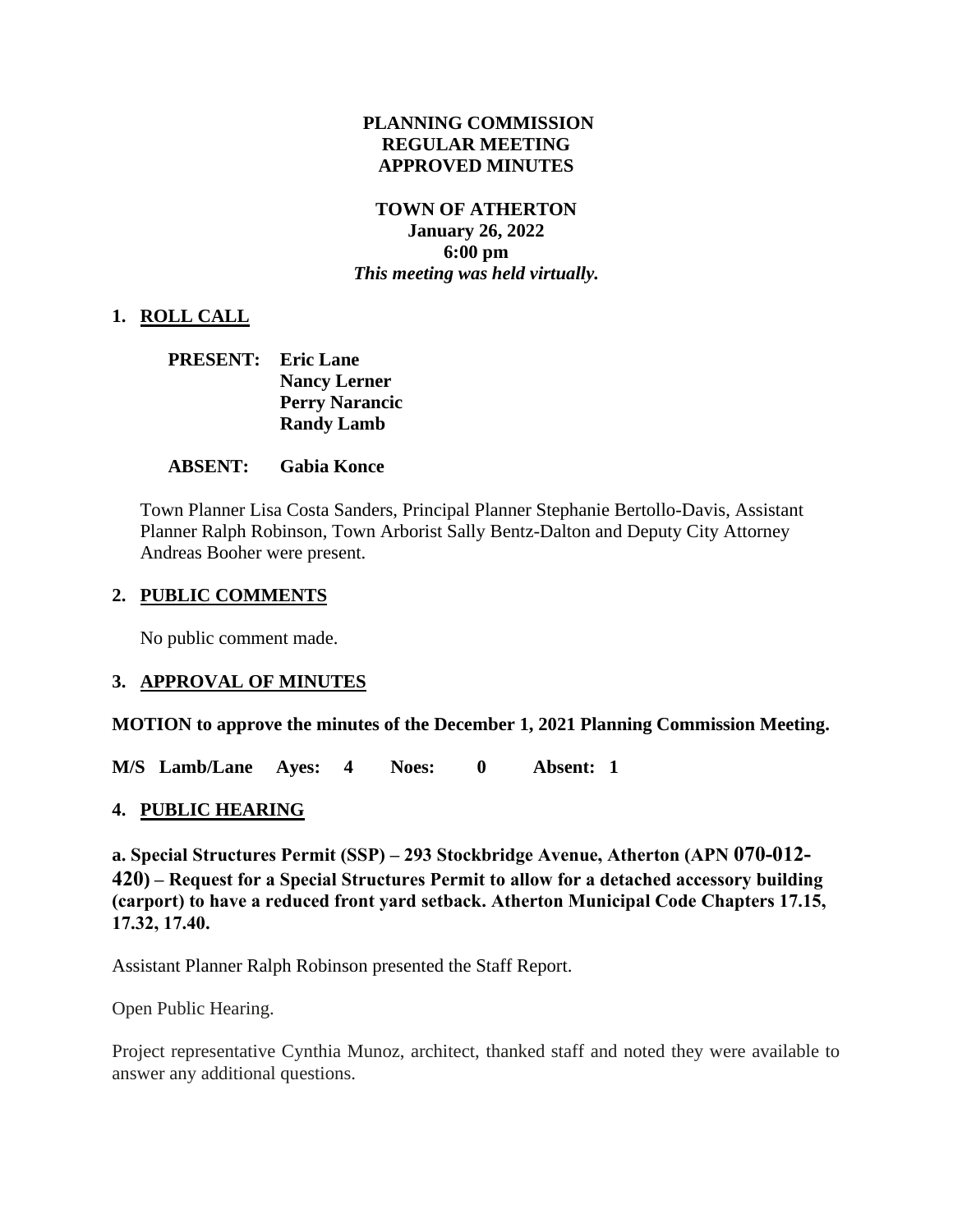## **PLANNING COMMISSION REGULAR MEETING APPROVED MINUTES**

## **TOWN OF ATHERTON January 26, 2022 6:00 pm** *This meeting was held virtually.*

# **1. ROLL CALL**

**PRESENT: Eric Lane Nancy Lerner Perry Narancic Randy Lamb**

#### **ABSENT: Gabia Konce**

Town Planner Lisa Costa Sanders, Principal Planner Stephanie Bertollo-Davis, Assistant Planner Ralph Robinson, Town Arborist Sally Bentz-Dalton and Deputy City Attorney Andreas Booher were present.

## **2. PUBLIC COMMENTS**

No public comment made.

# **3. APPROVAL OF MINUTES**

**MOTION to approve the minutes of the December 1, 2021 Planning Commission Meeting.**

**M/S Lamb/Lane Ayes: 4 Noes: 0 Absent: 1** 

# **4. PUBLIC HEARING**

**a. Special Structures Permit (SSP) – 293 Stockbridge Avenue, Atherton (APN 070-012- 420) – Request for a Special Structures Permit to allow for a detached accessory building (carport) to have a reduced front yard setback. Atherton Municipal Code Chapters 17.15, 17.32, 17.40.**

Assistant Planner Ralph Robinson presented the Staff Report.

Open Public Hearing.

Project representative Cynthia Munoz, architect, thanked staff and noted they were available to answer any additional questions.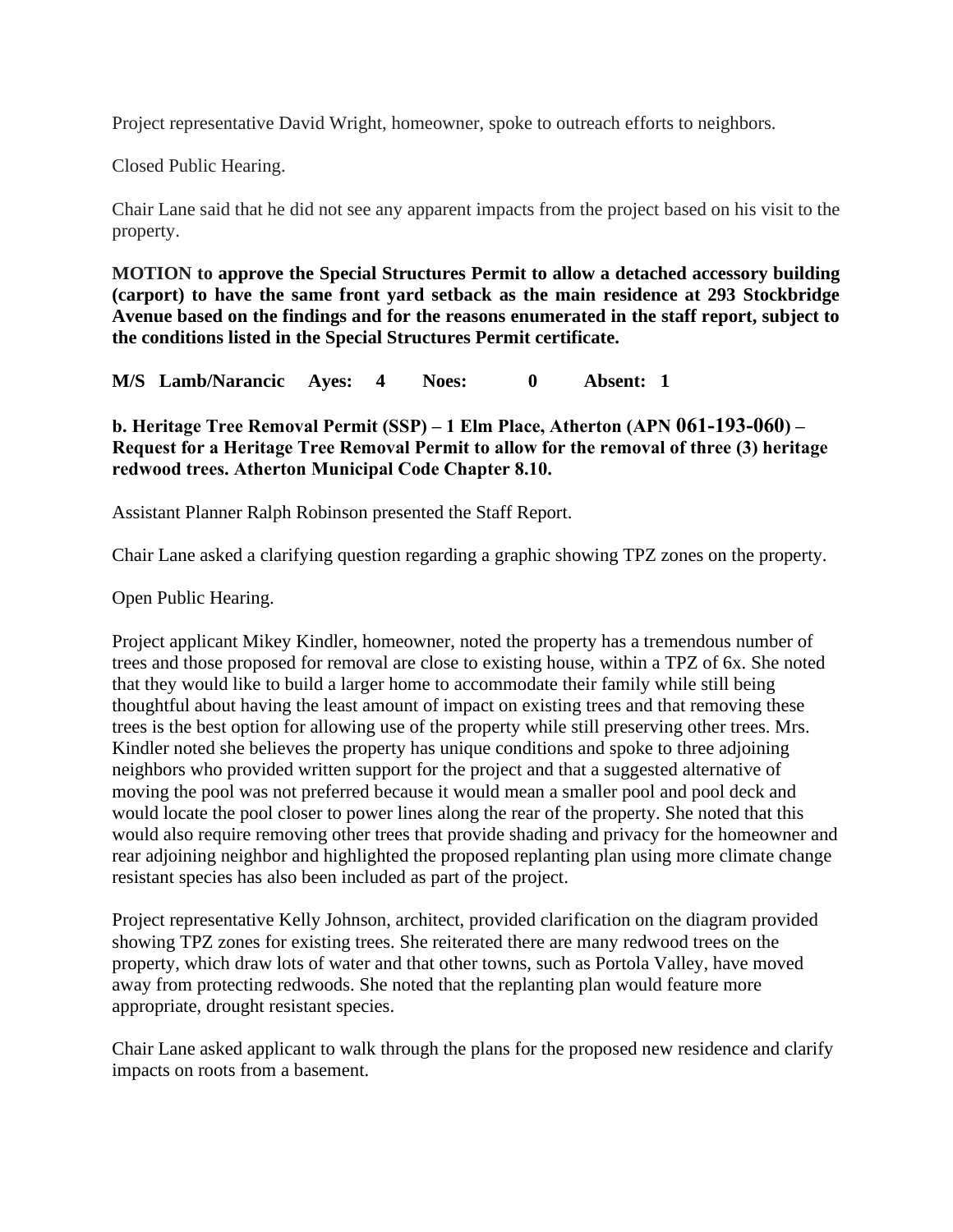Project representative David Wright, homeowner, spoke to outreach efforts to neighbors.

Closed Public Hearing.

Chair Lane said that he did not see any apparent impacts from the project based on his visit to the property.

**MOTION to approve the Special Structures Permit to allow a detached accessory building (carport) to have the same front yard setback as the main residence at 293 Stockbridge Avenue based on the findings and for the reasons enumerated in the staff report, subject to the conditions listed in the Special Structures Permit certificate.**

**M/S Lamb/Narancic Ayes: 4 Noes: 0 Absent: 1**

**b. Heritage Tree Removal Permit (SSP) – 1 Elm Place, Atherton (APN 061-193-060) – Request for a Heritage Tree Removal Permit to allow for the removal of three (3) heritage redwood trees. Atherton Municipal Code Chapter 8.10.**

Assistant Planner Ralph Robinson presented the Staff Report.

Chair Lane asked a clarifying question regarding a graphic showing TPZ zones on the property.

Open Public Hearing.

Project applicant Mikey Kindler, homeowner, noted the property has a tremendous number of trees and those proposed for removal are close to existing house, within a TPZ of 6x. She noted that they would like to build a larger home to accommodate their family while still being thoughtful about having the least amount of impact on existing trees and that removing these trees is the best option for allowing use of the property while still preserving other trees. Mrs. Kindler noted she believes the property has unique conditions and spoke to three adjoining neighbors who provided written support for the project and that a suggested alternative of moving the pool was not preferred because it would mean a smaller pool and pool deck and would locate the pool closer to power lines along the rear of the property. She noted that this would also require removing other trees that provide shading and privacy for the homeowner and rear adjoining neighbor and highlighted the proposed replanting plan using more climate change resistant species has also been included as part of the project.

Project representative Kelly Johnson, architect, provided clarification on the diagram provided showing TPZ zones for existing trees. She reiterated there are many redwood trees on the property, which draw lots of water and that other towns, such as Portola Valley, have moved away from protecting redwoods. She noted that the replanting plan would feature more appropriate, drought resistant species.

Chair Lane asked applicant to walk through the plans for the proposed new residence and clarify impacts on roots from a basement.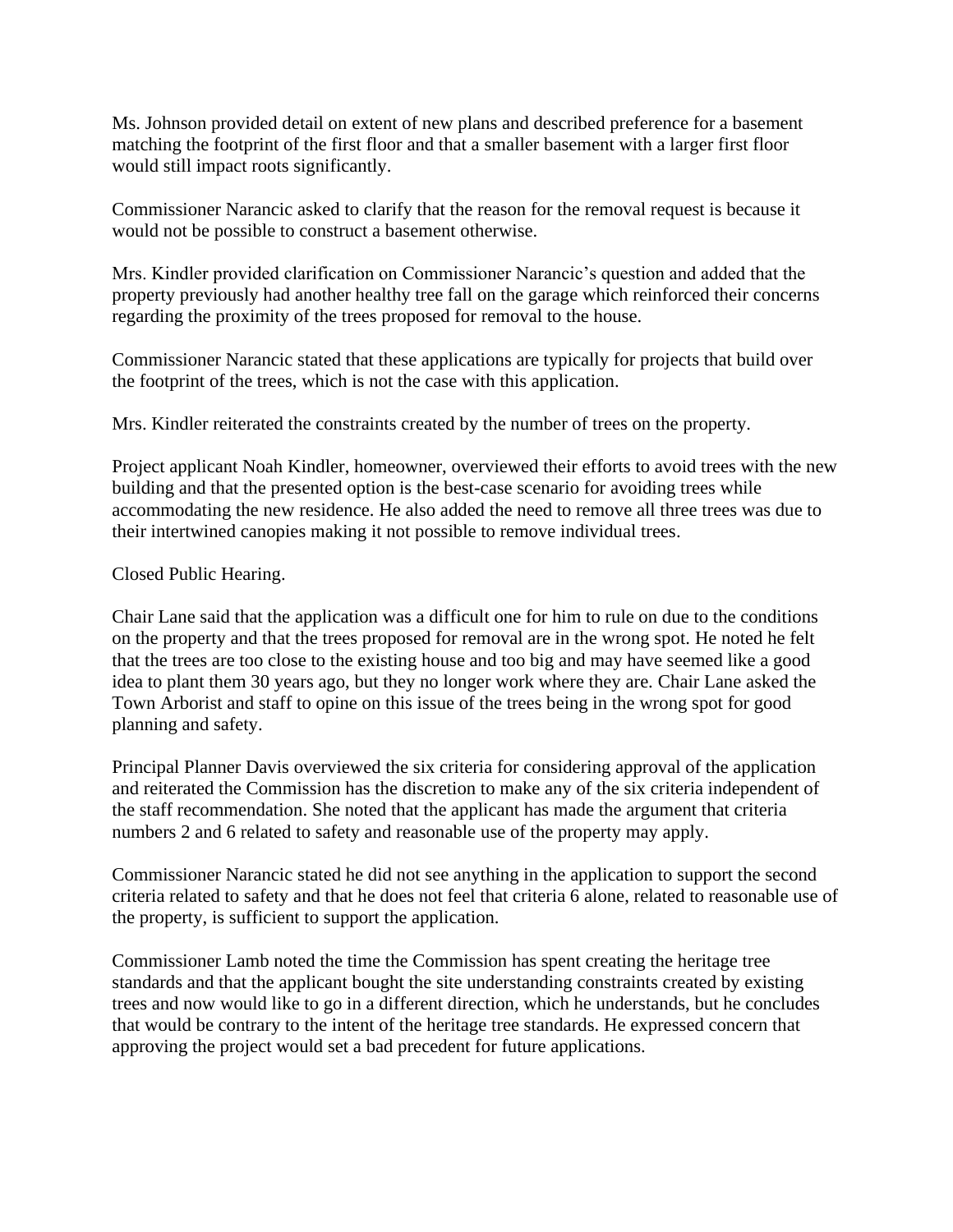Ms. Johnson provided detail on extent of new plans and described preference for a basement matching the footprint of the first floor and that a smaller basement with a larger first floor would still impact roots significantly.

Commissioner Narancic asked to clarify that the reason for the removal request is because it would not be possible to construct a basement otherwise.

Mrs. Kindler provided clarification on Commissioner Narancic's question and added that the property previously had another healthy tree fall on the garage which reinforced their concerns regarding the proximity of the trees proposed for removal to the house.

Commissioner Narancic stated that these applications are typically for projects that build over the footprint of the trees, which is not the case with this application.

Mrs. Kindler reiterated the constraints created by the number of trees on the property.

Project applicant Noah Kindler, homeowner, overviewed their efforts to avoid trees with the new building and that the presented option is the best-case scenario for avoiding trees while accommodating the new residence. He also added the need to remove all three trees was due to their intertwined canopies making it not possible to remove individual trees.

Closed Public Hearing.

Chair Lane said that the application was a difficult one for him to rule on due to the conditions on the property and that the trees proposed for removal are in the wrong spot. He noted he felt that the trees are too close to the existing house and too big and may have seemed like a good idea to plant them 30 years ago, but they no longer work where they are. Chair Lane asked the Town Arborist and staff to opine on this issue of the trees being in the wrong spot for good planning and safety.

Principal Planner Davis overviewed the six criteria for considering approval of the application and reiterated the Commission has the discretion to make any of the six criteria independent of the staff recommendation. She noted that the applicant has made the argument that criteria numbers 2 and 6 related to safety and reasonable use of the property may apply.

Commissioner Narancic stated he did not see anything in the application to support the second criteria related to safety and that he does not feel that criteria 6 alone, related to reasonable use of the property, is sufficient to support the application.

Commissioner Lamb noted the time the Commission has spent creating the heritage tree standards and that the applicant bought the site understanding constraints created by existing trees and now would like to go in a different direction, which he understands, but he concludes that would be contrary to the intent of the heritage tree standards. He expressed concern that approving the project would set a bad precedent for future applications.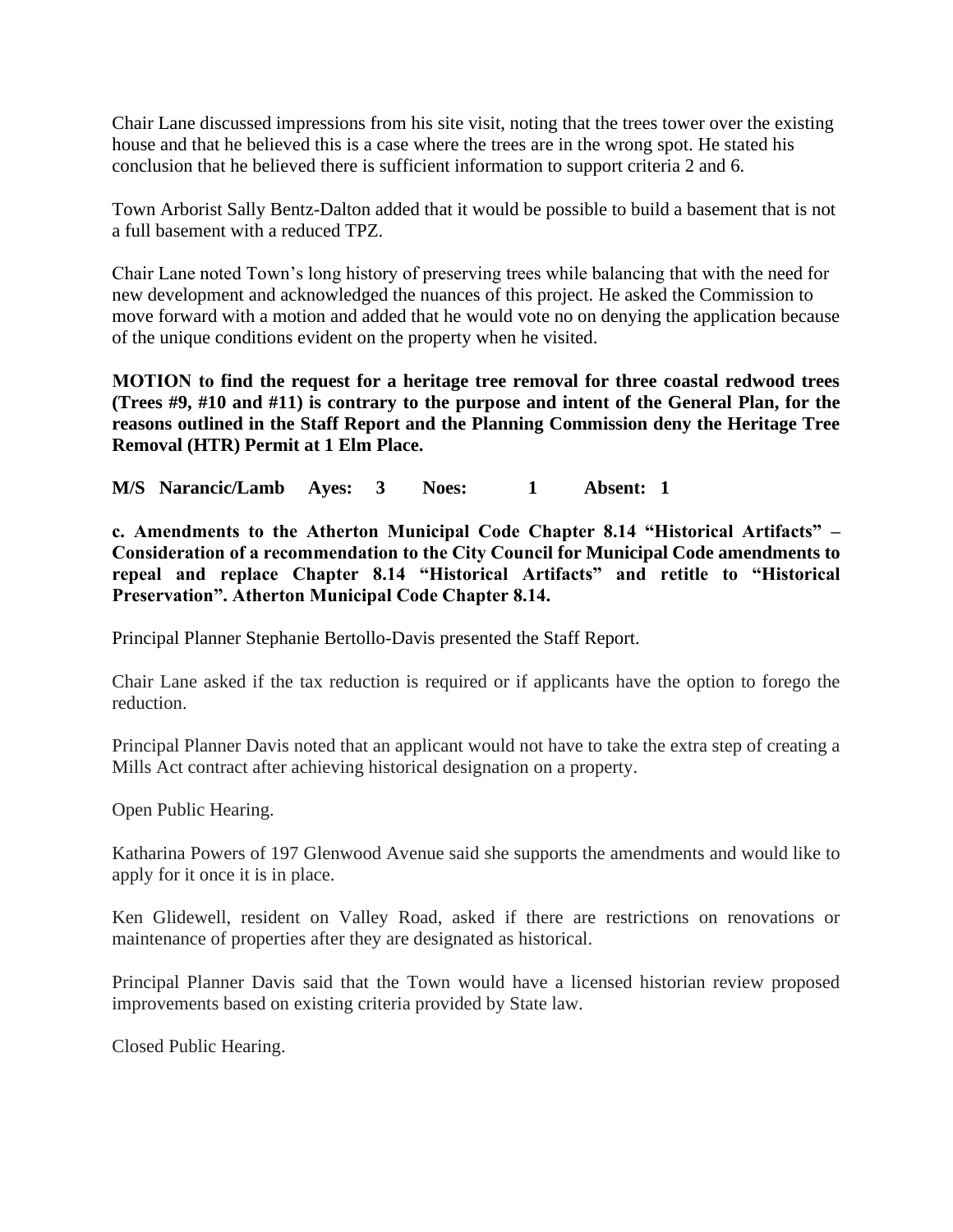Chair Lane discussed impressions from his site visit, noting that the trees tower over the existing house and that he believed this is a case where the trees are in the wrong spot. He stated his conclusion that he believed there is sufficient information to support criteria 2 and 6.

Town Arborist Sally Bentz-Dalton added that it would be possible to build a basement that is not a full basement with a reduced TPZ.

Chair Lane noted Town's long history of preserving trees while balancing that with the need for new development and acknowledged the nuances of this project. He asked the Commission to move forward with a motion and added that he would vote no on denying the application because of the unique conditions evident on the property when he visited.

**MOTION to find the request for a heritage tree removal for three coastal redwood trees (Trees #9, #10 and #11) is contrary to the purpose and intent of the General Plan, for the reasons outlined in the Staff Report and the Planning Commission deny the Heritage Tree Removal (HTR) Permit at 1 Elm Place.**

**M/S Narancic/Lamb Ayes: 3 Noes: 1 Absent: 1** 

**c. Amendments to the Atherton Municipal Code Chapter 8.14 "Historical Artifacts" – Consideration of a recommendation to the City Council for Municipal Code amendments to repeal and replace Chapter 8.14 "Historical Artifacts" and retitle to "Historical Preservation". Atherton Municipal Code Chapter 8.14.** 

Principal Planner Stephanie Bertollo-Davis presented the Staff Report.

Chair Lane asked if the tax reduction is required or if applicants have the option to forego the reduction.

Principal Planner Davis noted that an applicant would not have to take the extra step of creating a Mills Act contract after achieving historical designation on a property.

Open Public Hearing.

Katharina Powers of 197 Glenwood Avenue said she supports the amendments and would like to apply for it once it is in place.

Ken Glidewell, resident on Valley Road, asked if there are restrictions on renovations or maintenance of properties after they are designated as historical.

Principal Planner Davis said that the Town would have a licensed historian review proposed improvements based on existing criteria provided by State law.

Closed Public Hearing.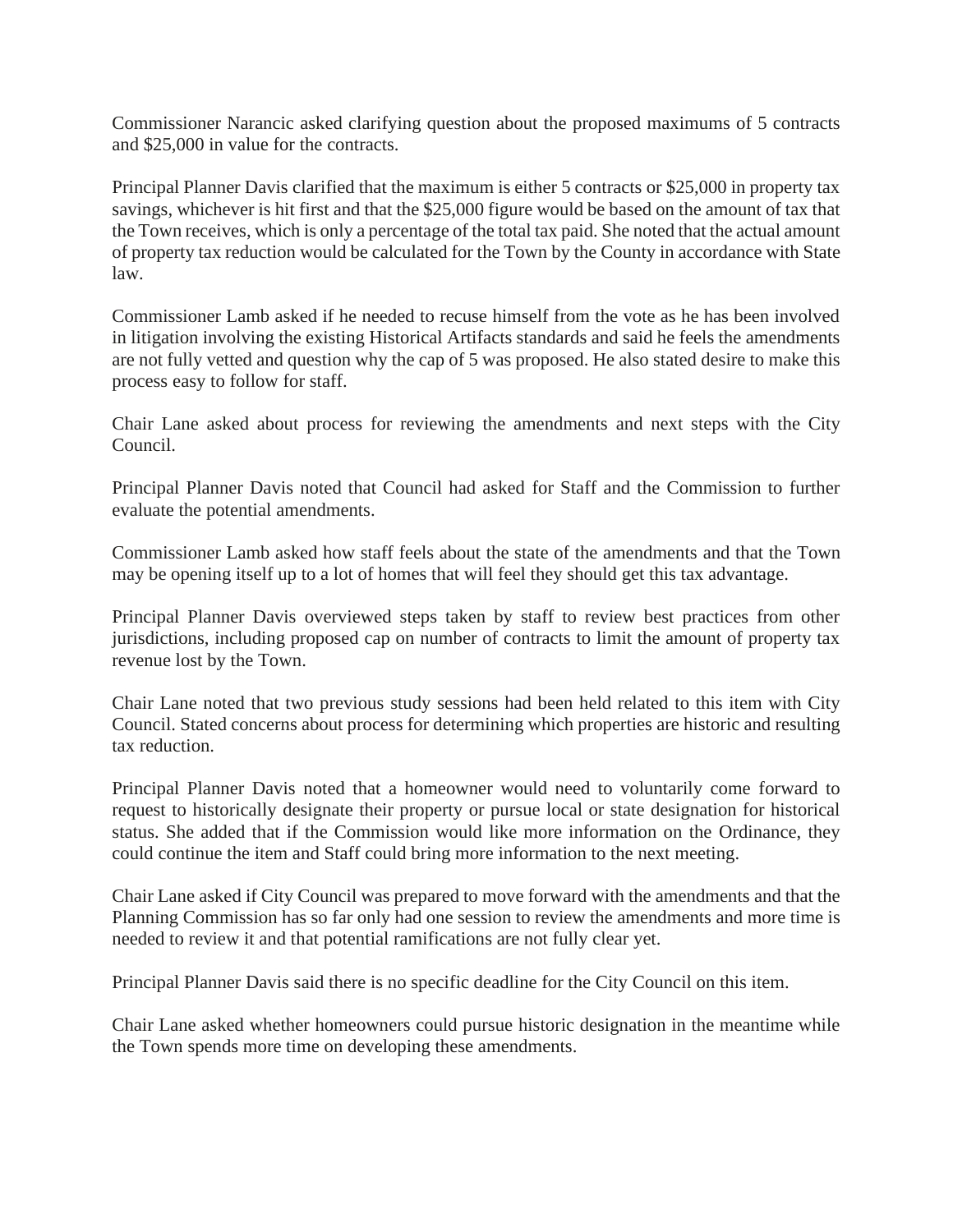Commissioner Narancic asked clarifying question about the proposed maximums of 5 contracts and \$25,000 in value for the contracts.

Principal Planner Davis clarified that the maximum is either 5 contracts or \$25,000 in property tax savings, whichever is hit first and that the \$25,000 figure would be based on the amount of tax that the Town receives, which is only a percentage of the total tax paid. She noted that the actual amount of property tax reduction would be calculated for the Town by the County in accordance with State law.

Commissioner Lamb asked if he needed to recuse himself from the vote as he has been involved in litigation involving the existing Historical Artifacts standards and said he feels the amendments are not fully vetted and question why the cap of 5 was proposed. He also stated desire to make this process easy to follow for staff.

Chair Lane asked about process for reviewing the amendments and next steps with the City Council.

Principal Planner Davis noted that Council had asked for Staff and the Commission to further evaluate the potential amendments.

Commissioner Lamb asked how staff feels about the state of the amendments and that the Town may be opening itself up to a lot of homes that will feel they should get this tax advantage.

Principal Planner Davis overviewed steps taken by staff to review best practices from other jurisdictions, including proposed cap on number of contracts to limit the amount of property tax revenue lost by the Town.

Chair Lane noted that two previous study sessions had been held related to this item with City Council. Stated concerns about process for determining which properties are historic and resulting tax reduction.

Principal Planner Davis noted that a homeowner would need to voluntarily come forward to request to historically designate their property or pursue local or state designation for historical status. She added that if the Commission would like more information on the Ordinance, they could continue the item and Staff could bring more information to the next meeting.

Chair Lane asked if City Council was prepared to move forward with the amendments and that the Planning Commission has so far only had one session to review the amendments and more time is needed to review it and that potential ramifications are not fully clear yet.

Principal Planner Davis said there is no specific deadline for the City Council on this item.

Chair Lane asked whether homeowners could pursue historic designation in the meantime while the Town spends more time on developing these amendments.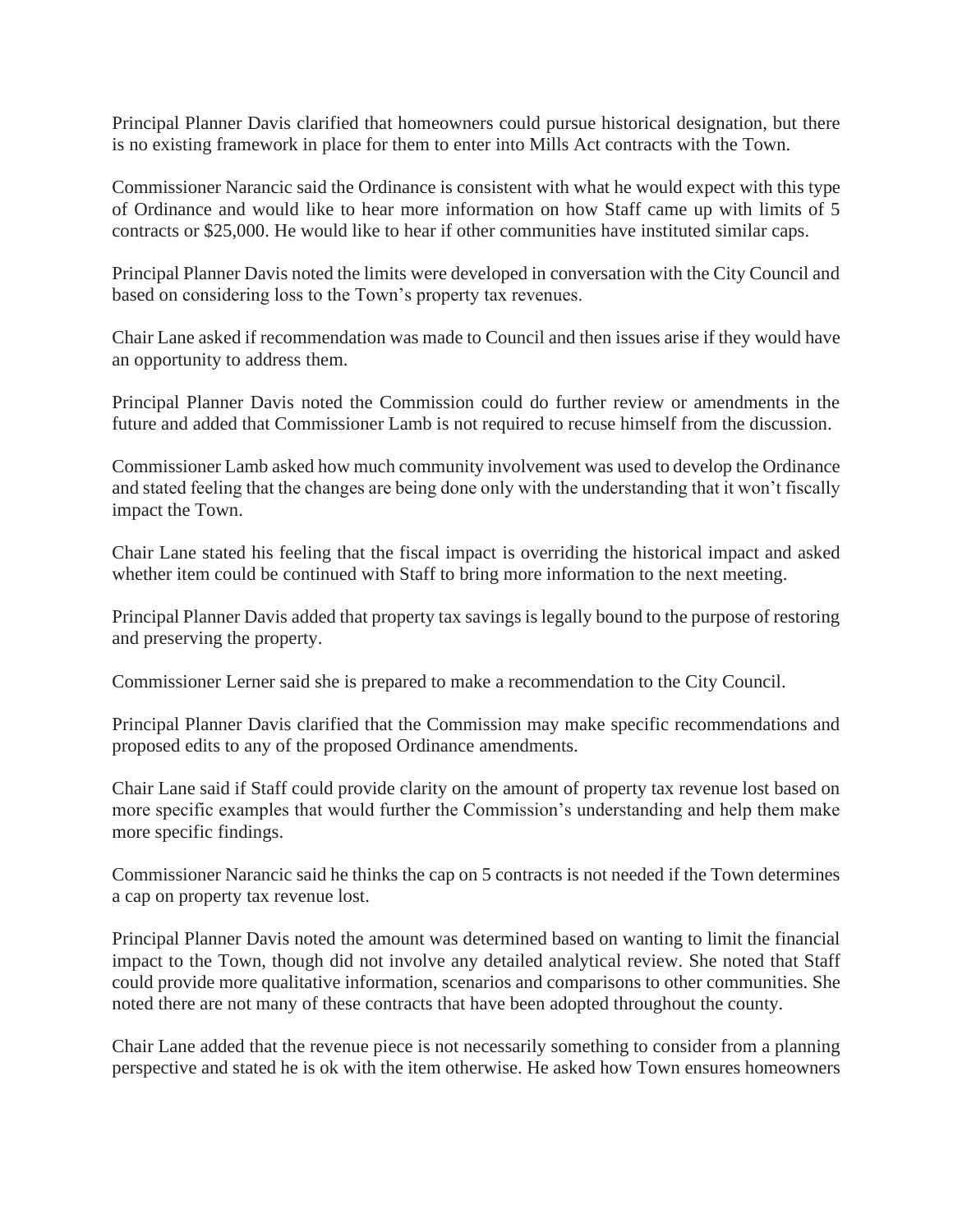Principal Planner Davis clarified that homeowners could pursue historical designation, but there is no existing framework in place for them to enter into Mills Act contracts with the Town.

Commissioner Narancic said the Ordinance is consistent with what he would expect with this type of Ordinance and would like to hear more information on how Staff came up with limits of 5 contracts or \$25,000. He would like to hear if other communities have instituted similar caps.

Principal Planner Davis noted the limits were developed in conversation with the City Council and based on considering loss to the Town's property tax revenues.

Chair Lane asked if recommendation was made to Council and then issues arise if they would have an opportunity to address them.

Principal Planner Davis noted the Commission could do further review or amendments in the future and added that Commissioner Lamb is not required to recuse himself from the discussion.

Commissioner Lamb asked how much community involvement was used to develop the Ordinance and stated feeling that the changes are being done only with the understanding that it won't fiscally impact the Town.

Chair Lane stated his feeling that the fiscal impact is overriding the historical impact and asked whether item could be continued with Staff to bring more information to the next meeting.

Principal Planner Davis added that property tax savings is legally bound to the purpose of restoring and preserving the property.

Commissioner Lerner said she is prepared to make a recommendation to the City Council.

Principal Planner Davis clarified that the Commission may make specific recommendations and proposed edits to any of the proposed Ordinance amendments.

Chair Lane said if Staff could provide clarity on the amount of property tax revenue lost based on more specific examples that would further the Commission's understanding and help them make more specific findings.

Commissioner Narancic said he thinks the cap on 5 contracts is not needed if the Town determines a cap on property tax revenue lost.

Principal Planner Davis noted the amount was determined based on wanting to limit the financial impact to the Town, though did not involve any detailed analytical review. She noted that Staff could provide more qualitative information, scenarios and comparisons to other communities. She noted there are not many of these contracts that have been adopted throughout the county.

Chair Lane added that the revenue piece is not necessarily something to consider from a planning perspective and stated he is ok with the item otherwise. He asked how Town ensures homeowners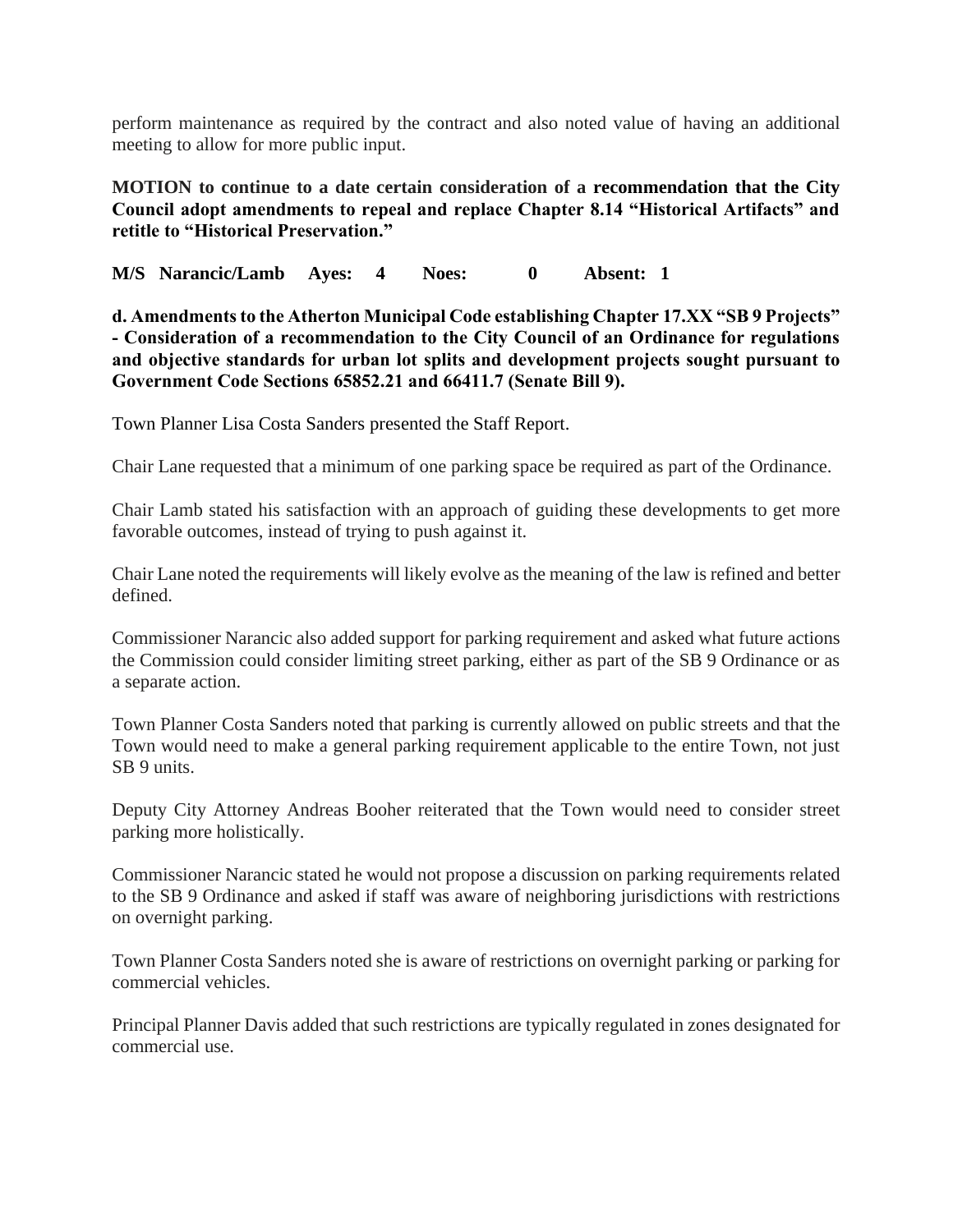perform maintenance as required by the contract and also noted value of having an additional meeting to allow for more public input.

**MOTION to continue to a date certain consideration of a recommendation that the City Council adopt amendments to repeal and replace Chapter 8.14 "Historical Artifacts" and retitle to "Historical Preservation."** 

**M/S Narancic/Lamb Ayes: 4 Noes: 0 Absent: 1**

**d. Amendments to the Atherton Municipal Code establishing Chapter 17.XX "SB 9 Projects" - Consideration of a recommendation to the City Council of an Ordinance for regulations and objective standards for urban lot splits and development projects sought pursuant to Government Code Sections 65852.21 and 66411.7 (Senate Bill 9).**

Town Planner Lisa Costa Sanders presented the Staff Report.

Chair Lane requested that a minimum of one parking space be required as part of the Ordinance.

Chair Lamb stated his satisfaction with an approach of guiding these developments to get more favorable outcomes, instead of trying to push against it.

Chair Lane noted the requirements will likely evolve as the meaning of the law is refined and better defined.

Commissioner Narancic also added support for parking requirement and asked what future actions the Commission could consider limiting street parking, either as part of the SB 9 Ordinance or as a separate action.

Town Planner Costa Sanders noted that parking is currently allowed on public streets and that the Town would need to make a general parking requirement applicable to the entire Town, not just SB 9 units.

Deputy City Attorney Andreas Booher reiterated that the Town would need to consider street parking more holistically.

Commissioner Narancic stated he would not propose a discussion on parking requirements related to the SB 9 Ordinance and asked if staff was aware of neighboring jurisdictions with restrictions on overnight parking.

Town Planner Costa Sanders noted she is aware of restrictions on overnight parking or parking for commercial vehicles.

Principal Planner Davis added that such restrictions are typically regulated in zones designated for commercial use.